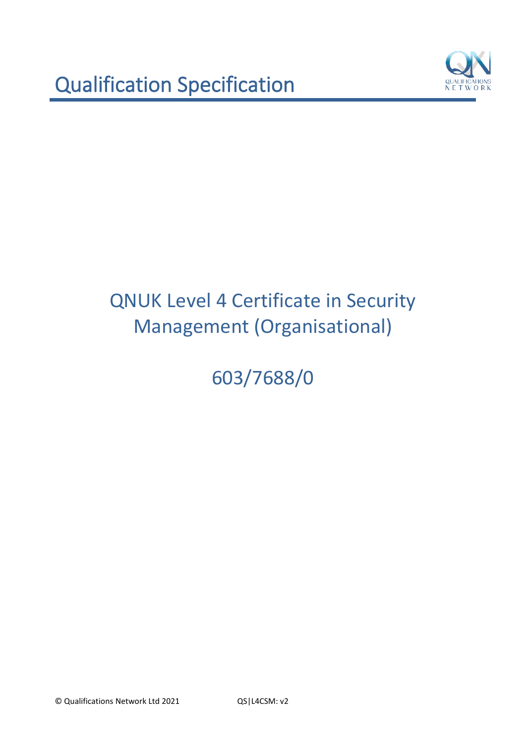

603/7688/0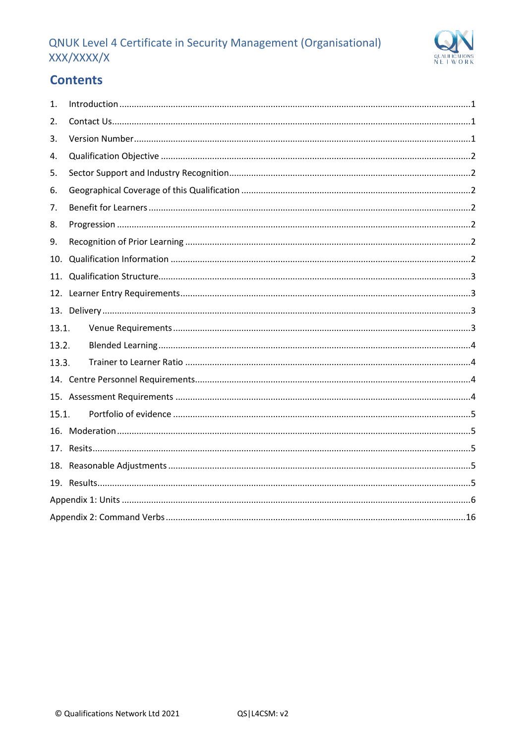# QNUK Level 4 Certificate in Security Management (Organisational) XXX/XXXX/X



# **Contents**

| 1.    |  |
|-------|--|
| 2.    |  |
| 3.    |  |
| 4.    |  |
| 5.    |  |
| 6.    |  |
| 7.    |  |
| 8.    |  |
| 9.    |  |
| 10.   |  |
| 11.   |  |
| 12.   |  |
|       |  |
| 13.1. |  |
| 13.2. |  |
| 13.3. |  |
|       |  |
|       |  |
| 15.1. |  |
|       |  |
|       |  |
|       |  |
|       |  |
|       |  |
|       |  |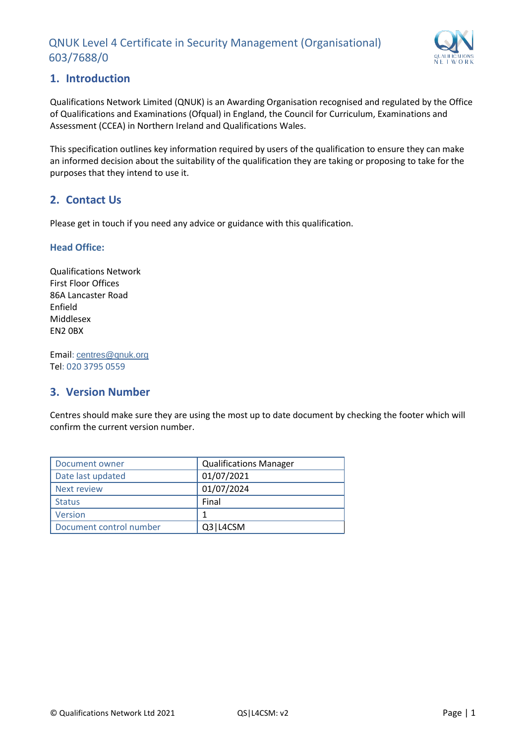

## <span id="page-2-0"></span>**1. Introduction**

Qualifications Network Limited (QNUK) is an Awarding Organisation recognised and regulated by the Office of Qualifications and Examinations (Ofqual) in England, the Council for Curriculum, Examinations and Assessment (CCEA) in Northern Ireland and Qualifications Wales.

This specification outlines key information required by users of the qualification to ensure they can make an informed decision about the suitability of the qualification they are taking or proposing to take for the purposes that they intend to use it.

## <span id="page-2-1"></span>**2. Contact Us**

Please get in touch if you need any advice or guidance with this qualification.

#### **Head Office:**

Qualifications Network First Floor Offices 86A Lancaster Road Enfield Middlesex EN2 0BX

Email: [centres@qnuk.org](mailto:CentreSupport@Qualifications-Network.co.uk) Tel: 020 3795 0559

## <span id="page-2-2"></span>**3. Version Number**

Centres should make sure they are using the most up to date document by checking the footer which will confirm the current version number.

| Document owner          | <b>Qualifications Manager</b> |
|-------------------------|-------------------------------|
| Date last updated       | 01/07/2021                    |
| Next review             | 01/07/2024                    |
| <b>Status</b>           | Final                         |
| <b>Version</b>          |                               |
| Document control number | Q3   L4CSM                    |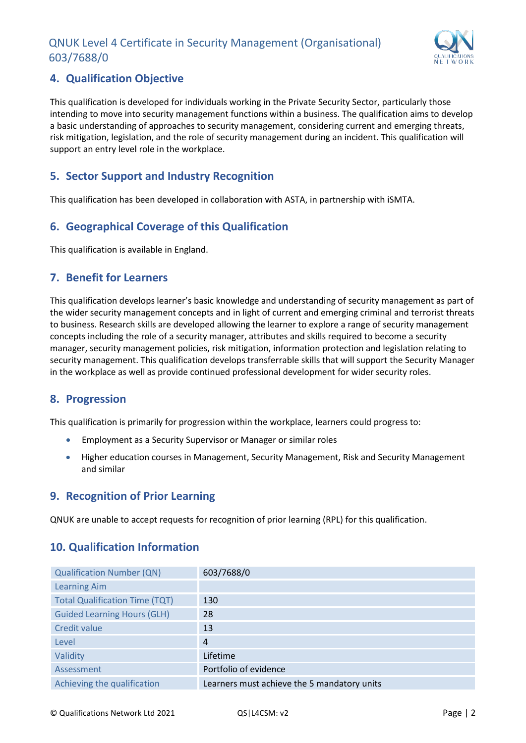

## <span id="page-3-0"></span>**4. Qualification Objective**

This qualification is developed for individuals working in the Private Security Sector, particularly those intending to move into security management functions within a business. The qualification aims to develop a basic understanding of approaches to security management, considering current and emerging threats, risk mitigation, legislation, and the role of security management during an incident. This qualification will support an entry level role in the workplace.

## <span id="page-3-1"></span>**5. Sector Support and Industry Recognition**

This qualification has been developed in collaboration with ASTA, in partnership with iSMTA.

## <span id="page-3-2"></span>**6. Geographical Coverage of this Qualification**

This qualification is available in England.

#### <span id="page-3-3"></span>**7. Benefit for Learners**

This qualification develops learner's basic knowledge and understanding of security management as part of the wider security management concepts and in light of current and emerging criminal and terrorist threats to business. Research skills are developed allowing the learner to explore a range of security management concepts including the role of a security manager, attributes and skills required to become a security manager, security management policies, risk mitigation, information protection and legislation relating to security management. This qualification develops transferrable skills that will support the Security Manager in the workplace as well as provide continued professional development for wider security roles.

## <span id="page-3-4"></span>**8. Progression**

This qualification is primarily for progression within the workplace, learners could progress to:

- Employment as a Security Supervisor or Manager or similar roles
- Higher education courses in Management, Security Management, Risk and Security Management and similar

## <span id="page-3-5"></span>**9. Recognition of Prior Learning**

QNUK are unable to accept requests for recognition of prior learning (RPL) for this qualification.

## <span id="page-3-6"></span>**10. Qualification Information**

| <b>Qualification Number (QN)</b>      | 603/7688/0                                  |
|---------------------------------------|---------------------------------------------|
| <b>Learning Aim</b>                   |                                             |
| <b>Total Qualification Time (TQT)</b> | 130                                         |
| <b>Guided Learning Hours (GLH)</b>    | 28                                          |
| Credit value                          | 13                                          |
| Level                                 | $\overline{4}$                              |
| Validity                              | Lifetime                                    |
| Assessment                            | Portfolio of evidence                       |
| Achieving the qualification           | Learners must achieve the 5 mandatory units |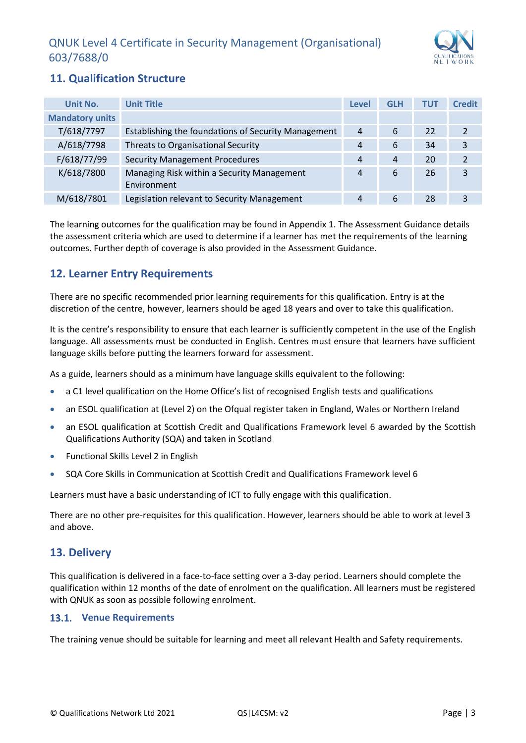

## <span id="page-4-0"></span>**11. Qualification Structure**

| Unit No.               | <b>Unit Title</b>                                         | <b>Level</b> | <b>GLH</b> | <b>TUT</b> | <b>Credit</b> |
|------------------------|-----------------------------------------------------------|--------------|------------|------------|---------------|
| <b>Mandatory units</b> |                                                           |              |            |            |               |
| T/618/7797             | Establishing the foundations of Security Management       | 4            | 6          | 22         | $\mathcal{P}$ |
| A/618/7798             | Threats to Organisational Security                        | 4            | 6          | 34         | 3             |
| F/618/77/99            | <b>Security Management Procedures</b>                     | 4            | 4          | 20         | 2             |
| K/618/7800             | Managing Risk within a Security Management<br>Environment | 4            | 6          | 26         | 3             |
| M/618/7801             | Legislation relevant to Security Management               | 4            | 6          | 28         | 3             |

The learning outcomes for the qualification may be found in Appendix 1. The Assessment Guidance details the assessment criteria which are used to determine if a learner has met the requirements of the learning outcomes. Further depth of coverage is also provided in the Assessment Guidance.

## <span id="page-4-1"></span>**12. Learner Entry Requirements**

There are no specific recommended prior learning requirements for this qualification. Entry is at the discretion of the centre, however, learners should be aged 18 years and over to take this qualification.

It is the centre's responsibility to ensure that each learner is sufficiently competent in the use of the English language. All assessments must be conducted in English. Centres must ensure that learners have sufficient language skills before putting the learners forward for assessment.

As a guide, learners should as a minimum have language skills equivalent to the following:

- a C1 level qualification on the Home Office's list of recognised English tests and qualifications
- an ESOL qualification at (Level 2) on the Ofqual register taken in England, Wales or Northern Ireland
- an ESOL qualification at Scottish Credit and Qualifications Framework level 6 awarded by the Scottish Qualifications Authority (SQA) and taken in Scotland
- Functional Skills Level 2 in English
- SQA Core Skills in Communication at Scottish Credit and Qualifications Framework level 6

Learners must have a basic understanding of ICT to fully engage with this qualification.

There are no other pre-requisites for this qualification. However, learners should be able to work at level 3 and above.

#### <span id="page-4-2"></span>**13. Delivery**

This qualification is delivered in a face-to-face setting over a 3-day period. Learners should complete the qualification within 12 months of the date of enrolment on the qualification. All learners must be registered with QNUK as soon as possible following enrolment.

#### <span id="page-4-3"></span>**Venue Requirements**

The training venue should be suitable for learning and meet all relevant Health and Safety requirements.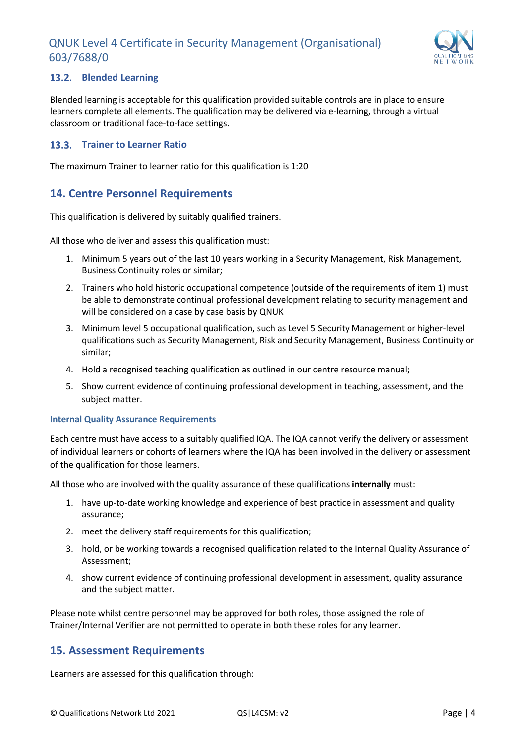

#### <span id="page-5-0"></span>**Blended Learning**

Blended learning is acceptable for this qualification provided suitable controls are in place to ensure learners complete all elements. The qualification may be delivered via e-learning, through a virtual classroom or traditional face-to-face settings.

#### <span id="page-5-1"></span>**13.3. Trainer to Learner Ratio**

The maximum Trainer to learner ratio for this qualification is 1:20

## <span id="page-5-2"></span>**14. Centre Personnel Requirements**

This qualification is delivered by suitably qualified trainers.

All those who deliver and assess this qualification must:

- 1. Minimum 5 years out of the last 10 years working in a Security Management, Risk Management, Business Continuity roles or similar;
- 2. Trainers who hold historic occupational competence (outside of the requirements of item 1) must be able to demonstrate continual professional development relating to security management and will be considered on a case by case basis by QNUK
- 3. Minimum level 5 occupational qualification, such as Level 5 Security Management or higher-level qualifications such as Security Management, Risk and Security Management, Business Continuity or similar;
- 4. Hold a recognised teaching qualification as outlined in our centre resource manual;
- 5. Show current evidence of continuing professional development in teaching, assessment, and the subject matter.

#### **Internal Quality Assurance Requirements**

Each centre must have access to a suitably qualified IQA. The IQA cannot verify the delivery or assessment of individual learners or cohorts of learners where the IQA has been involved in the delivery or assessment of the qualification for those learners.

All those who are involved with the quality assurance of these qualifications **internally** must:

- 1. have up-to-date working knowledge and experience of best practice in assessment and quality assurance;
- 2. meet the delivery staff requirements for this qualification;
- 3. hold, or be working towards a recognised qualification related to the Internal Quality Assurance of Assessment;
- 4. show current evidence of continuing professional development in assessment, quality assurance and the subject matter.

Please note whilst centre personnel may be approved for both roles, those assigned the role of Trainer/Internal Verifier are not permitted to operate in both these roles for any learner.

#### <span id="page-5-3"></span>**15. Assessment Requirements**

Learners are assessed for this qualification through: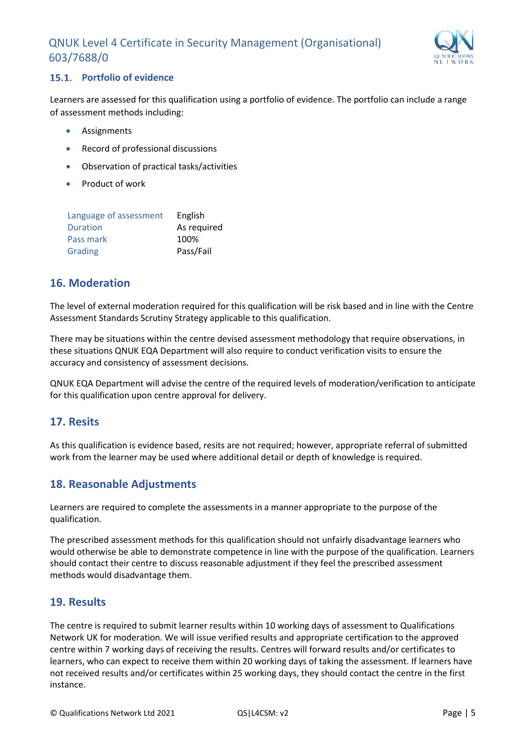

#### <span id="page-6-0"></span>15.1. Portfolio of evidence

Learners are assessed for this qualification using a portfolio of evidence. The portfolio can include a range of assessment methods including:

- **Assignments**
- Record of professional discussions
- Observation of practical tasks/activities
- Product of work

| Language of assessment | English     |
|------------------------|-------------|
| Duration               | As required |
| Pass mark              | 100%        |
| Grading                | Pass/Fail   |

## <span id="page-6-1"></span>**16. Moderation**

The level of external moderation required for this qualification will be risk based and in line with the Centre Assessment Standards Scrutiny Strategy applicable to this qualification.

There may be situations within the centre devised assessment methodology that require observations, in these situations QNUK EQA Department will also require to conduct verification visits to ensure the accuracy and consistency of assessment decisions.

QNUK EQA Department will advise the centre of the required levels of moderation/verification to anticipate for this qualification upon centre approval for delivery.

## <span id="page-6-2"></span>**17. Resits**

As this qualification is evidence based, resits are not required; however, appropriate referral of submitted work from the learner may be used where additional detail or depth of knowledge is required.

## <span id="page-6-3"></span>**18. Reasonable Adjustments**

Learners are required to complete the assessments in a manner appropriate to the purpose of the qualification.

The prescribed assessment methods for this qualification should not unfairly disadvantage learners who would otherwise be able to demonstrate competence in line with the purpose of the qualification. Learners should contact their centre to discuss reasonable adjustment if they feel the prescribed assessment methods would disadvantage them.

## <span id="page-6-4"></span>**19. Results**

The centre is required to submit learner results within 10 working days of assessment to Qualifications Network UK for moderation. We will issue verified results and appropriate certification to the approved centre within 7 working days of receiving the results. Centres will forward results and/or certificates to learners, who can expect to receive them within 20 working days of taking the assessment. If learners have not received results and/or certificates within 25 working days, they should contact the centre in the first instance.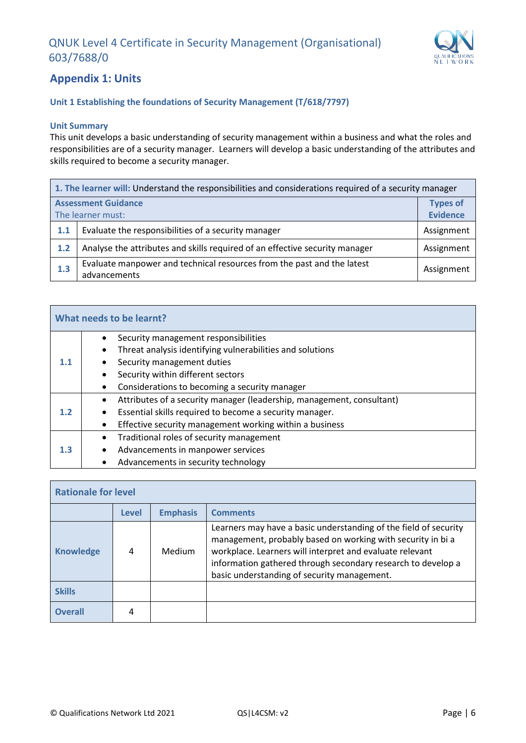

## <span id="page-7-0"></span>**Appendix 1: Units**

#### **Unit 1 Establishing the foundations of Security Management (T/618/7797)**

#### **Unit Summary**

This unit develops a basic understanding of security management within a business and what the roles and responsibilities are of a security manager. Learners will develop a basic understanding of the attributes and skills required to become a security manager.

|                            | 1. The learner will: Understand the responsibilities and considerations required of a security manager |                 |  |
|----------------------------|--------------------------------------------------------------------------------------------------------|-----------------|--|
| <b>Assessment Guidance</b> |                                                                                                        | <b>Types of</b> |  |
| The learner must:          |                                                                                                        | <b>Evidence</b> |  |
| 1.1                        | Evaluate the responsibilities of a security manager                                                    | Assignment      |  |
| 1.2                        | Analyse the attributes and skills required of an effective security manager                            | Assignment      |  |
| 1.3                        | Evaluate manpower and technical resources from the past and the latest<br>advancements                 | Assignment      |  |

| What needs to be learnt? |                                                                                                   |  |  |  |
|--------------------------|---------------------------------------------------------------------------------------------------|--|--|--|
| 1.1                      | Security management responsibilities<br>Threat analysis identifying vulnerabilities and solutions |  |  |  |
|                          | Security management duties                                                                        |  |  |  |
|                          | Security within different sectors                                                                 |  |  |  |
|                          | Considerations to becoming a security manager                                                     |  |  |  |
|                          | Attributes of a security manager (leadership, management, consultant)                             |  |  |  |
| 1.2                      | Essential skills required to become a security manager.                                           |  |  |  |
|                          | Effective security management working within a business                                           |  |  |  |
| 1.3                      | Traditional roles of security management                                                          |  |  |  |
|                          | Advancements in manpower services<br>$\bullet$                                                    |  |  |  |
|                          | Advancements in security technology                                                               |  |  |  |

| <b>Rationale for level</b> |       |                 |                                                                                                                                                                                                                                                                                                            |  |
|----------------------------|-------|-----------------|------------------------------------------------------------------------------------------------------------------------------------------------------------------------------------------------------------------------------------------------------------------------------------------------------------|--|
|                            | Level | <b>Emphasis</b> | <b>Comments</b>                                                                                                                                                                                                                                                                                            |  |
| <b>Knowledge</b>           | 4     | Medium          | Learners may have a basic understanding of the field of security<br>management, probably based on working with security in bi a<br>workplace. Learners will interpret and evaluate relevant<br>information gathered through secondary research to develop a<br>basic understanding of security management. |  |
| <b>Skills</b>              |       |                 |                                                                                                                                                                                                                                                                                                            |  |
| Overall                    | 4     |                 |                                                                                                                                                                                                                                                                                                            |  |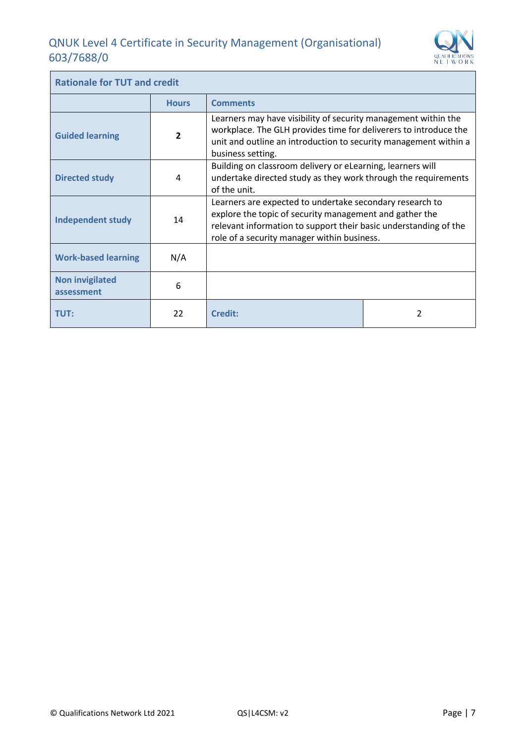Ĩ.



| <b>Rationale for TUT and credit</b>  |                |                                                                                                                                                                                                                                        |  |  |
|--------------------------------------|----------------|----------------------------------------------------------------------------------------------------------------------------------------------------------------------------------------------------------------------------------------|--|--|
|                                      | <b>Hours</b>   | <b>Comments</b>                                                                                                                                                                                                                        |  |  |
| <b>Guided learning</b>               | $\overline{2}$ | Learners may have visibility of security management within the<br>workplace. The GLH provides time for deliverers to introduce the<br>unit and outline an introduction to security management within a<br>business setting.            |  |  |
| <b>Directed study</b>                | 4              | Building on classroom delivery or eLearning, learners will<br>undertake directed study as they work through the requirements<br>of the unit.                                                                                           |  |  |
| <b>Independent study</b>             | 14             | Learners are expected to undertake secondary research to<br>explore the topic of security management and gather the<br>relevant information to support their basic understanding of the<br>role of a security manager within business. |  |  |
| <b>Work-based learning</b>           | N/A            |                                                                                                                                                                                                                                        |  |  |
| <b>Non invigilated</b><br>assessment | 6              |                                                                                                                                                                                                                                        |  |  |
| <b>TUT:</b>                          | 22             | <b>Credit:</b>                                                                                                                                                                                                                         |  |  |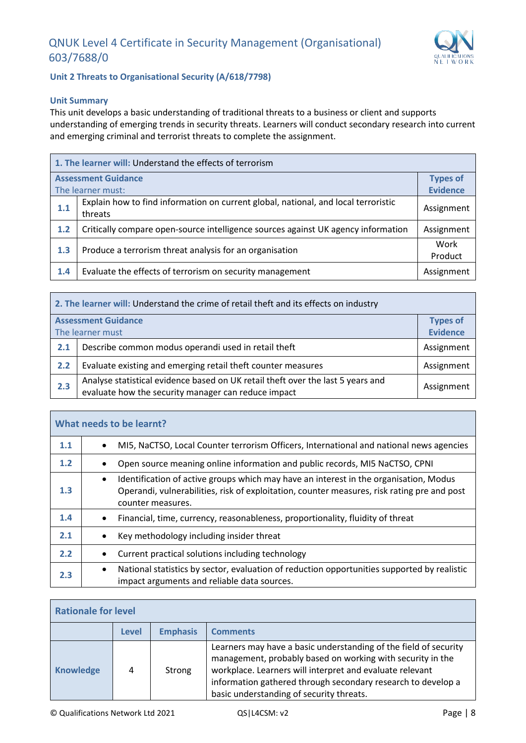

#### **Unit 2 Threats to Organisational Security (A/618/7798)**

#### **Unit Summary**

This unit develops a basic understanding of traditional threats to a business or client and supports understanding of emerging trends in security threats. Learners will conduct secondary research into current and emerging criminal and terrorist threats to complete the assignment.

|     | 1. The learner will: Understand the effects of terrorism                                      |                 |  |
|-----|-----------------------------------------------------------------------------------------------|-----------------|--|
|     | <b>Assessment Guidance</b>                                                                    | <b>Types of</b> |  |
|     | The learner must:                                                                             | <b>Evidence</b> |  |
| 1.1 | Explain how to find information on current global, national, and local terroristic<br>threats | Assignment      |  |
| 1.2 | Critically compare open-source intelligence sources against UK agency information             | Assignment      |  |
| 1.3 | Produce a terrorism threat analysis for an organisation                                       | Work<br>Product |  |
| 1.4 | Evaluate the effects of terrorism on security management                                      | Assignment      |  |

| 2. The learner will: Understand the crime of retail theft and its effects on industry |                                                                                                                                        |                 |
|---------------------------------------------------------------------------------------|----------------------------------------------------------------------------------------------------------------------------------------|-----------------|
|                                                                                       | <b>Assessment Guidance</b>                                                                                                             | <b>Types of</b> |
|                                                                                       | The learner must                                                                                                                       | <b>Evidence</b> |
| 2.1                                                                                   | Describe common modus operandi used in retail theft                                                                                    | Assignment      |
| 2.2                                                                                   | Evaluate existing and emerging retail theft counter measures                                                                           | Assignment      |
| 2.3                                                                                   | Analyse statistical evidence based on UK retail theft over the last 5 years and<br>evaluate how the security manager can reduce impact | Assignment      |

| What needs to be learnt? |                                                                                                                                                                                                                        |  |
|--------------------------|------------------------------------------------------------------------------------------------------------------------------------------------------------------------------------------------------------------------|--|
| 1.1                      | MI5, NaCTSO, Local Counter terrorism Officers, International and national news agencies<br>$\bullet$                                                                                                                   |  |
| 1.2                      | Open source meaning online information and public records, MI5 NaCTSO, CPNI                                                                                                                                            |  |
| 1.3                      | Identification of active groups which may have an interest in the organisation, Modus<br>$\bullet$<br>Operandi, vulnerabilities, risk of exploitation, counter measures, risk rating pre and post<br>counter measures. |  |
| 1.4                      | Financial, time, currency, reasonableness, proportionality, fluidity of threat<br>٠                                                                                                                                    |  |
| 2.1                      | Key methodology including insider threat                                                                                                                                                                               |  |
| 2.2                      | Current practical solutions including technology<br>$\bullet$                                                                                                                                                          |  |
| 2.3                      | National statistics by sector, evaluation of reduction opportunities supported by realistic<br>$\bullet$<br>impact arguments and reliable data sources.                                                                |  |

| <b>Rationale for level</b>                         |   |        |                                                                                                                                                                                                                                                                                                        |
|----------------------------------------------------|---|--------|--------------------------------------------------------------------------------------------------------------------------------------------------------------------------------------------------------------------------------------------------------------------------------------------------------|
| <b>Emphasis</b><br><b>Comments</b><br><b>Level</b> |   |        |                                                                                                                                                                                                                                                                                                        |
| <b>Knowledge</b>                                   | 4 | Strong | Learners may have a basic understanding of the field of security<br>management, probably based on working with security in the<br>workplace. Learners will interpret and evaluate relevant<br>information gathered through secondary research to develop a<br>basic understanding of security threats. |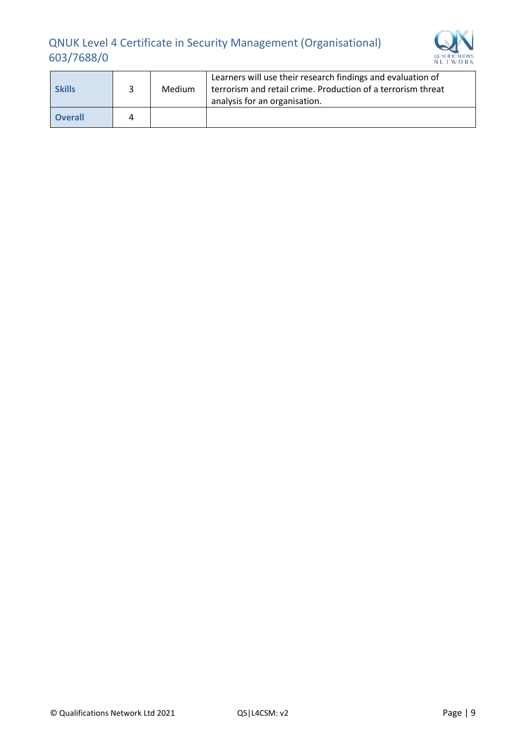

| <b>Skills</b>  |   | Medium | Learners will use their research findings and evaluation of<br>terrorism and retail crime. Production of a terrorism threat<br>analysis for an organisation. |
|----------------|---|--------|--------------------------------------------------------------------------------------------------------------------------------------------------------------|
| <b>Overall</b> | 4 |        |                                                                                                                                                              |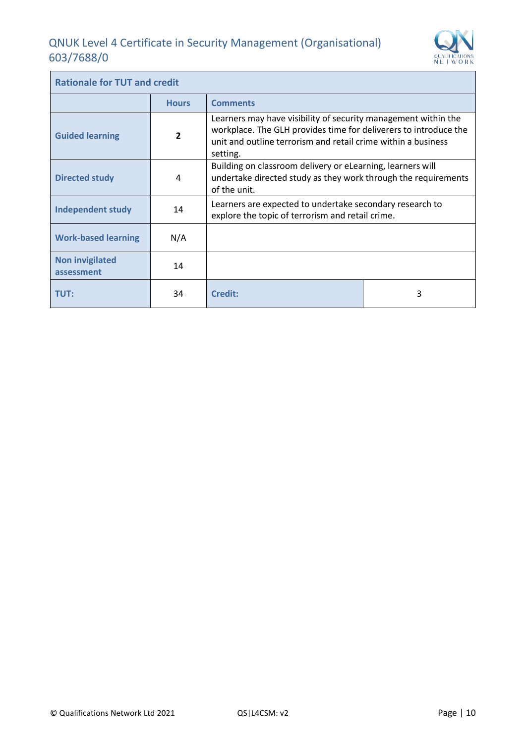Ĩ.



| <b>Rationale for TUT and credit</b>  |                |                                                                                                                                                                                                                 |   |
|--------------------------------------|----------------|-----------------------------------------------------------------------------------------------------------------------------------------------------------------------------------------------------------------|---|
|                                      | <b>Hours</b>   | <b>Comments</b>                                                                                                                                                                                                 |   |
| <b>Guided learning</b>               | $\overline{2}$ | Learners may have visibility of security management within the<br>workplace. The GLH provides time for deliverers to introduce the<br>unit and outline terrorism and retail crime within a business<br>setting. |   |
| <b>Directed study</b>                | 4              | Building on classroom delivery or eLearning, learners will<br>undertake directed study as they work through the requirements<br>of the unit.                                                                    |   |
| <b>Independent study</b>             | 14             | Learners are expected to undertake secondary research to<br>explore the topic of terrorism and retail crime.                                                                                                    |   |
| <b>Work-based learning</b>           | N/A            |                                                                                                                                                                                                                 |   |
| <b>Non invigilated</b><br>assessment | 14             |                                                                                                                                                                                                                 |   |
| 34<br><b>TUT:</b>                    |                | <b>Credit:</b>                                                                                                                                                                                                  | 3 |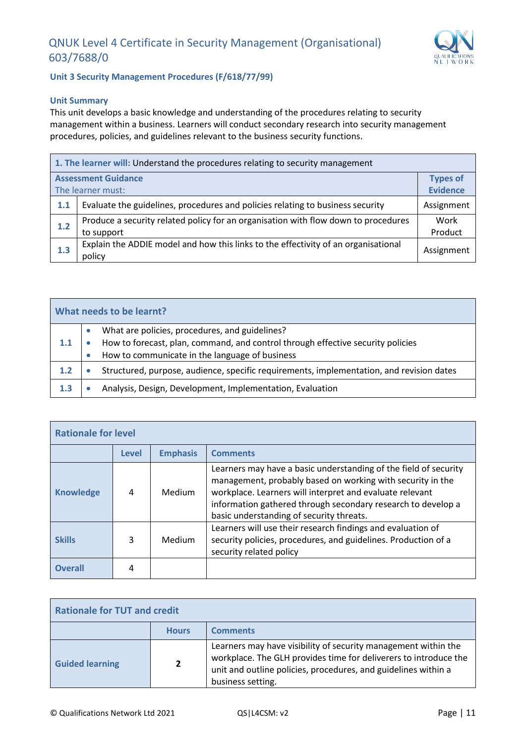

**Unit 3 Security Management Procedures (F/618/77/99)**

#### **Unit Summary**

This unit develops a basic knowledge and understanding of the procedures relating to security management within a business. Learners will conduct secondary research into security management procedures, policies, and guidelines relevant to the business security functions.

|     | 1. The learner will: Understand the procedures relating to security management                   |                 |  |  |  |
|-----|--------------------------------------------------------------------------------------------------|-----------------|--|--|--|
|     | <b>Assessment Guidance</b><br><b>Types of</b><br><b>Evidence</b><br>The learner must:            |                 |  |  |  |
| 1.1 | Evaluate the guidelines, procedures and policies relating to business security                   | Assignment      |  |  |  |
| 1.2 | Produce a security related policy for an organisation with flow down to procedures<br>to support | Work<br>Product |  |  |  |
| 1.3 | Explain the ADDIE model and how this links to the effectivity of an organisational<br>policy     | Assignment      |  |  |  |

| What needs to be learnt? |  |                                                                                                                                   |  |  |
|--------------------------|--|-----------------------------------------------------------------------------------------------------------------------------------|--|--|
| 1.1                      |  | What are policies, procedures, and guidelines?<br>How to forecast, plan, command, and control through effective security policies |  |  |
|                          |  | How to communicate in the language of business                                                                                    |  |  |
| 1.2                      |  | Structured, purpose, audience, specific requirements, implementation, and revision dates                                          |  |  |
| 1.3                      |  | Analysis, Design, Development, Implementation, Evaluation                                                                         |  |  |

| <b>Rationale for level</b> |                                             |        |                                                                                                                                                                                                                                                                                                        |
|----------------------------|---------------------------------------------|--------|--------------------------------------------------------------------------------------------------------------------------------------------------------------------------------------------------------------------------------------------------------------------------------------------------------|
|                            | <b>Emphasis</b><br><b>Comments</b><br>Level |        |                                                                                                                                                                                                                                                                                                        |
| <b>Knowledge</b>           | 4                                           | Medium | Learners may have a basic understanding of the field of security<br>management, probably based on working with security in the<br>workplace. Learners will interpret and evaluate relevant<br>information gathered through secondary research to develop a<br>basic understanding of security threats. |
| <b>Skills</b>              | 3                                           | Medium | Learners will use their research findings and evaluation of<br>security policies, procedures, and guidelines. Production of a<br>security related policy                                                                                                                                               |
| <b>Overall</b>             |                                             |        |                                                                                                                                                                                                                                                                                                        |

| <b>Rationale for TUT and credit</b> |                |                                                                                                                                                                                                                           |
|-------------------------------------|----------------|---------------------------------------------------------------------------------------------------------------------------------------------------------------------------------------------------------------------------|
|                                     | <b>Hours</b>   | <b>Comments</b>                                                                                                                                                                                                           |
| <b>Guided learning</b>              | $\overline{2}$ | Learners may have visibility of security management within the<br>workplace. The GLH provides time for deliverers to introduce the<br>unit and outline policies, procedures, and guidelines within a<br>business setting. |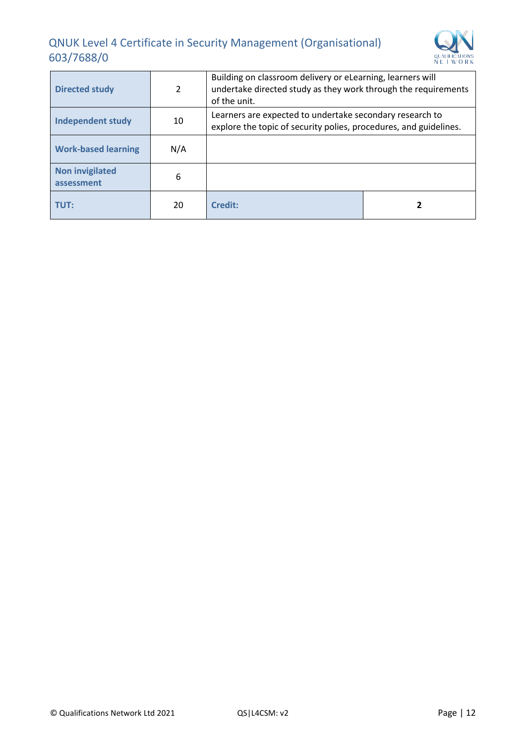

| <b>Directed study</b>                | 2   | Building on classroom delivery or eLearning, learners will<br>undertake directed study as they work through the requirements<br>of the unit. |  |
|--------------------------------------|-----|----------------------------------------------------------------------------------------------------------------------------------------------|--|
| <b>Independent study</b>             | 10  | Learners are expected to undertake secondary research to<br>explore the topic of security polies, procedures, and guidelines.                |  |
| <b>Work-based learning</b>           | N/A |                                                                                                                                              |  |
| <b>Non invigilated</b><br>assessment | 6   |                                                                                                                                              |  |
| TUT:                                 | 20  | Credit:                                                                                                                                      |  |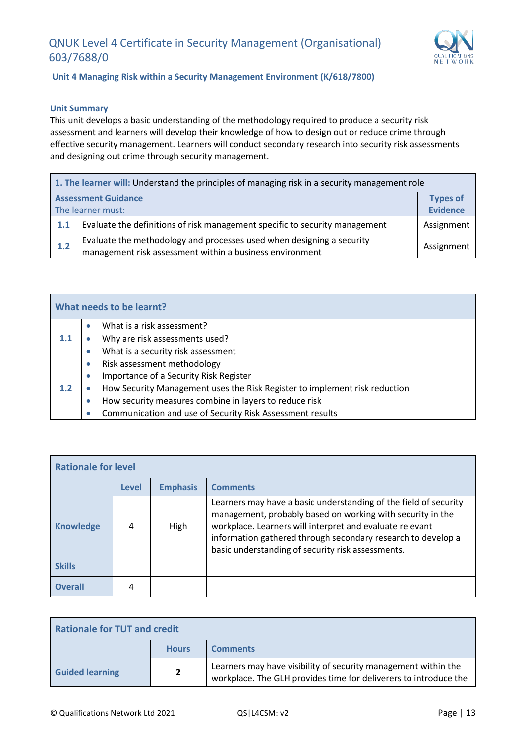

**Unit 4 Managing Risk within a Security Management Environment (K/618/7800)**

#### **Unit Summary**

This unit develops a basic understanding of the methodology required to produce a security risk assessment and learners will develop their knowledge of how to design out or reduce crime through effective security management. Learners will conduct secondary research into security risk assessments and designing out crime through security management.

|                   | 1. The learner will: Understand the principles of managing risk in a security management role                                     |            |  |  |
|-------------------|-----------------------------------------------------------------------------------------------------------------------------------|------------|--|--|
|                   | <b>Assessment Guidance</b><br><b>Types of</b><br><b>Evidence</b>                                                                  |            |  |  |
| The learner must: |                                                                                                                                   |            |  |  |
| 1.1               | Evaluate the definitions of risk management specific to security management                                                       | Assignment |  |  |
| 1.2               | Evaluate the methodology and processes used when designing a security<br>management risk assessment within a business environment | Assignment |  |  |

|         |           | What needs to be learnt?                                                   |
|---------|-----------|----------------------------------------------------------------------------|
|         |           | What is a risk assessment?                                                 |
| $1.1\,$ |           | Why are risk assessments used?                                             |
|         |           | What is a security risk assessment                                         |
|         |           | Risk assessment methodology                                                |
|         | $\bullet$ | Importance of a Security Risk Register                                     |
| 1.2     |           | How Security Management uses the Risk Register to implement risk reduction |
|         |           | How security measures combine in layers to reduce risk                     |
|         |           | Communication and use of Security Risk Assessment results                  |

| <b>Rationale for level</b>                         |   |      |                                                                                                                                                                                                                                                                                                                 |
|----------------------------------------------------|---|------|-----------------------------------------------------------------------------------------------------------------------------------------------------------------------------------------------------------------------------------------------------------------------------------------------------------------|
| <b>Emphasis</b><br><b>Comments</b><br><b>Level</b> |   |      |                                                                                                                                                                                                                                                                                                                 |
| <b>Knowledge</b>                                   | 4 | High | Learners may have a basic understanding of the field of security<br>management, probably based on working with security in the<br>workplace. Learners will interpret and evaluate relevant<br>information gathered through secondary research to develop a<br>basic understanding of security risk assessments. |
| <b>Skills</b>                                      |   |      |                                                                                                                                                                                                                                                                                                                 |
| <b>Overall</b>                                     | 4 |      |                                                                                                                                                                                                                                                                                                                 |

| <b>Rationale for TUT and credit</b> |                |                                                                                                                                    |
|-------------------------------------|----------------|------------------------------------------------------------------------------------------------------------------------------------|
|                                     | <b>Hours</b>   | <b>Comments</b>                                                                                                                    |
| <b>Guided learning</b>              | $\overline{2}$ | Learners may have visibility of security management within the<br>workplace. The GLH provides time for deliverers to introduce the |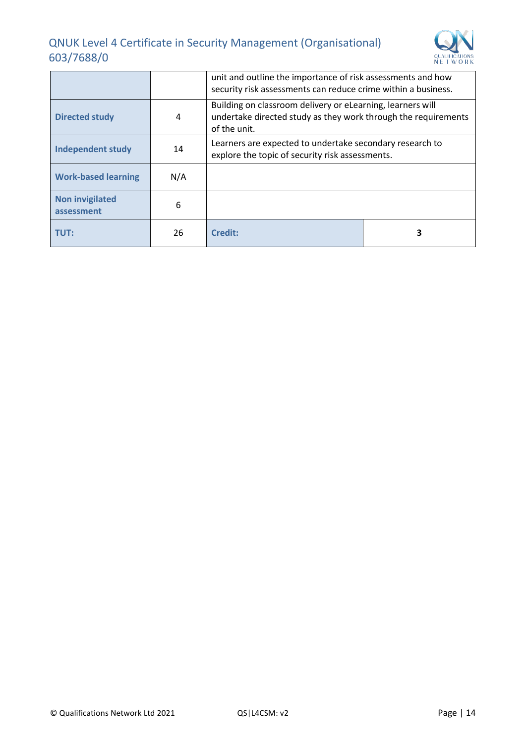

|                                      |     | unit and outline the importance of risk assessments and how<br>security risk assessments can reduce crime within a business.                 |  |
|--------------------------------------|-----|----------------------------------------------------------------------------------------------------------------------------------------------|--|
| <b>Directed study</b>                | 4   | Building on classroom delivery or eLearning, learners will<br>undertake directed study as they work through the requirements<br>of the unit. |  |
| <b>Independent study</b>             | 14  | Learners are expected to undertake secondary research to<br>explore the topic of security risk assessments.                                  |  |
| <b>Work-based learning</b>           | N/A |                                                                                                                                              |  |
| <b>Non invigilated</b><br>assessment | 6   |                                                                                                                                              |  |
| TUT:                                 | 26  | Credit:                                                                                                                                      |  |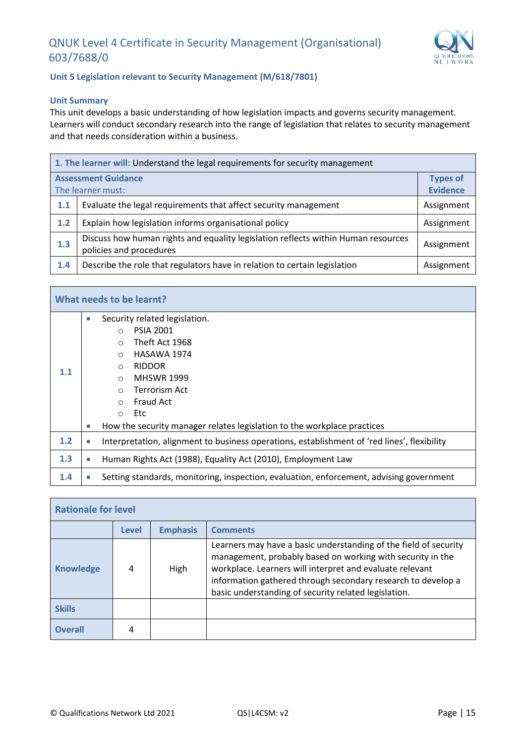

#### **Unit 5 Legislation relevant to Security Management (M/618/7801)**

#### **Unit Summary**

This unit develops a basic understanding of how legislation impacts and governs security management. Learners will conduct secondary research into the range of legislation that relates to security management and that needs consideration within a business.

| 1. The learner will: Understand the legal requirements for security management |                                                                                                              |                 |
|--------------------------------------------------------------------------------|--------------------------------------------------------------------------------------------------------------|-----------------|
| <b>Assessment Guidance</b>                                                     |                                                                                                              |                 |
| The learner must:                                                              |                                                                                                              | <b>Evidence</b> |
| 1.1                                                                            | Evaluate the legal requirements that affect security management                                              | Assignment      |
| 1.2                                                                            | Explain how legislation informs organisational policy                                                        |                 |
| 1.3                                                                            | Discuss how human rights and equality legislation reflects within Human resources<br>policies and procedures |                 |
| 1.4                                                                            | Describe the role that regulators have in relation to certain legislation                                    | Assignment      |

| What needs to be learnt? |           |                                                                                                                                                                                 |
|--------------------------|-----------|---------------------------------------------------------------------------------------------------------------------------------------------------------------------------------|
| 1.1                      | $\bullet$ | Security related legislation.<br><b>PSIA 2001</b><br>$\circ$<br>Theft Act 1968<br>$\circ$<br>HASAWA 1974<br>$\circ$<br><b>RIDDOR</b><br>$\circ$<br><b>MHSWR 1999</b><br>$\circ$ |
|                          | $\bullet$ | Terrorism Act<br>$\circ$<br>Fraud Act<br>$\bigcirc$<br>Etc<br>$\circ$<br>How the security manager relates legislation to the workplace practices                                |
| 1.2                      |           | Interpretation, alignment to business operations, establishment of 'red lines', flexibility                                                                                     |
| 1.3                      | $\bullet$ | Human Rights Act (1988), Equality Act (2010), Employment Law                                                                                                                    |
| 1.4                      |           | Setting standards, monitoring, inspection, evaluation, enforcement, advising government                                                                                         |

| <b>Rationale for level</b> |              |                 |                                                                                                                                                                                                                                                                                                                    |
|----------------------------|--------------|-----------------|--------------------------------------------------------------------------------------------------------------------------------------------------------------------------------------------------------------------------------------------------------------------------------------------------------------------|
|                            | <b>Level</b> | <b>Emphasis</b> | <b>Comments</b>                                                                                                                                                                                                                                                                                                    |
| <b>Knowledge</b>           | 4            | High            | Learners may have a basic understanding of the field of security<br>management, probably based on working with security in the<br>workplace. Learners will interpret and evaluate relevant<br>information gathered through secondary research to develop a<br>basic understanding of security related legislation. |
| <b>Skills</b>              |              |                 |                                                                                                                                                                                                                                                                                                                    |
| <b>Overall</b>             | 4            |                 |                                                                                                                                                                                                                                                                                                                    |